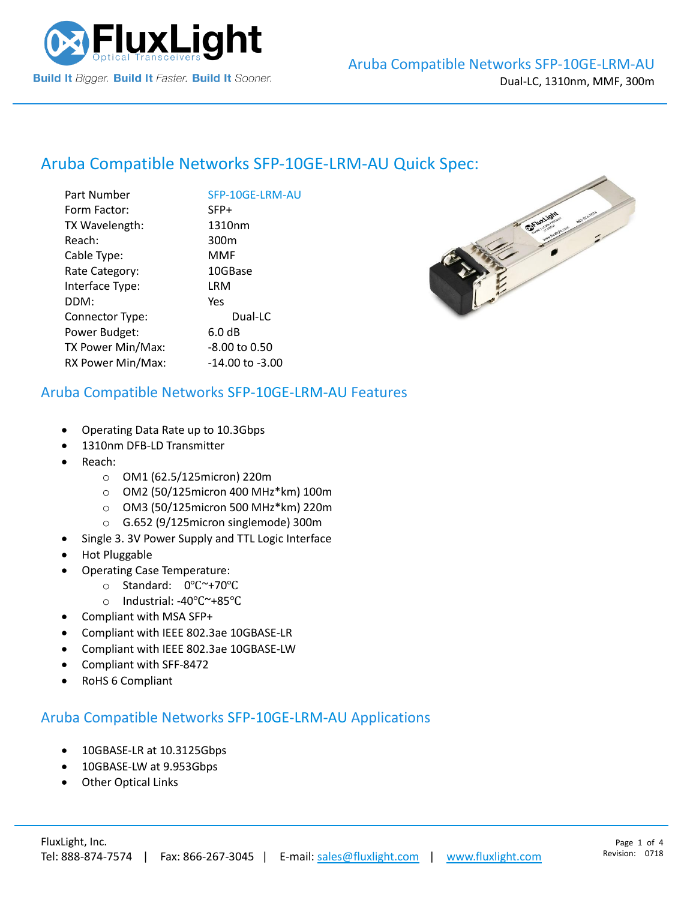

# Aruba Compatible Networks [SFP-10GE-LRM-AU](https://www.fluxlight.com/) Quick Spec:

| Part Number       | SFP-10GE-LRM-AU  |
|-------------------|------------------|
| Form Factor:      | SFP+             |
| TX Wavelength:    | 1310nm           |
| Reach:            | 300 <sub>m</sub> |
| Cable Type:       | MMF              |
| Rate Category:    | 10GBase          |
| Interface Type:   | LRM              |
| DDM:              | Yes              |
| Connector Type:   | Dual-LC          |
| Power Budget:     | 6.0 dB           |
| TX Power Min/Max: | -8.00 to 0.50    |
| RX Power Min/Max: | -14.00 to -3.00  |
|                   |                  |



#### Aruba Compatible Networks [SFP-10GE-LRM-AU](https://www.fluxlight.com/) Features

- Operating Data Rate up to 10.3Gbps
- 1310nm DFB-LD Transmitter
- Reach:
	- o OM1 (62.5/125micron) 220m
	- o OM2 (50/125micron 400 MHz\*km) 100m
	- o OM3 (50/125micron 500 MHz\*km) 220m
	- o G.652 (9/125micron singlemode) 300m
- Single 3. 3V Power Supply and TTL Logic Interface
- Hot Pluggable
- Operating Case Temperature:
	- o Standard: 0℃~+70℃
	- o Industrial: -40℃~+85℃
- Compliant with MSA SFP+
- Compliant with IEEE 802.3ae 10GBASE-LR
- Compliant with IEEE 802.3ae 10GBASE-LW
- Compliant with SFF-8472
- RoHS 6 Compliant

#### Aruba Compatible Networks [SFP-10GE-LRM-AU](https://www.fluxlight.com/) Applications

- 10GBASE-LR at 10.3125Gbps
- 10GBASE-LW at 9.953Gbps
- **Other Optical Links**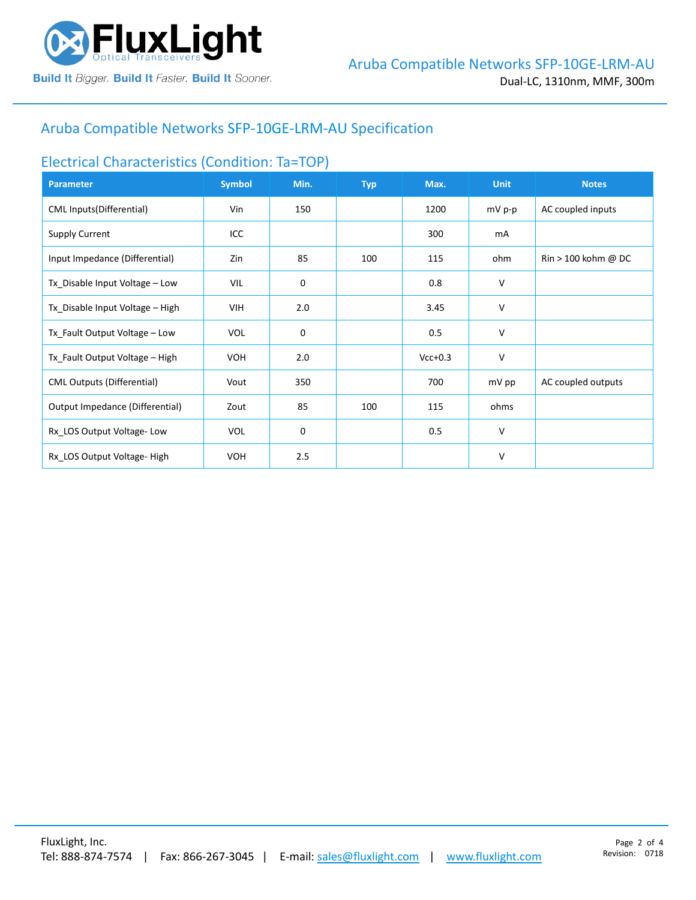

# Aruba Compatible Networks [SFP-10GE-LRM-AU](https://www.fluxlight.com/) Specification

## Electrical Characteristics (Condition: Ta=TOP)

| <b>Parameter</b>                  | <b>Symbol</b> | Min. | <b>Typ</b> | Max.      | <b>Unit</b> | <b>Notes</b>                          |
|-----------------------------------|---------------|------|------------|-----------|-------------|---------------------------------------|
| CML Inputs(Differential)          | Vin           | 150  |            | 1200      | mV p-p      | AC coupled inputs                     |
| <b>Supply Current</b>             | ICC           |      |            | 300       | mA          |                                       |
| Input Impedance (Differential)    | Zin           | 85   | 100        | 115       | ohm         | $\text{Rin} > 100 \text{ kohm } @$ DC |
| Tx_Disable Input Voltage - Low    | VIL           | 0    |            | 0.8       | V           |                                       |
| Tx_Disable Input Voltage - High   | VIH           | 2.0  |            | 3.45      | V           |                                       |
| Tx_Fault Output Voltage - Low     | <b>VOL</b>    | 0    |            | 0.5       | V           |                                       |
| Tx_Fault Output Voltage - High    | <b>VOH</b>    | 2.0  |            | $Vcc+0.3$ | V           |                                       |
| <b>CML Outputs (Differential)</b> | Vout          | 350  |            | 700       | mV pp       | AC coupled outputs                    |
| Output Impedance (Differential)   | Zout          | 85   | 100        | 115       | ohms        |                                       |
| Rx_LOS Output Voltage-Low         | <b>VOL</b>    | 0    |            | 0.5       | V           |                                       |
| Rx LOS Output Voltage-High        | <b>VOH</b>    | 2.5  |            |           | V           |                                       |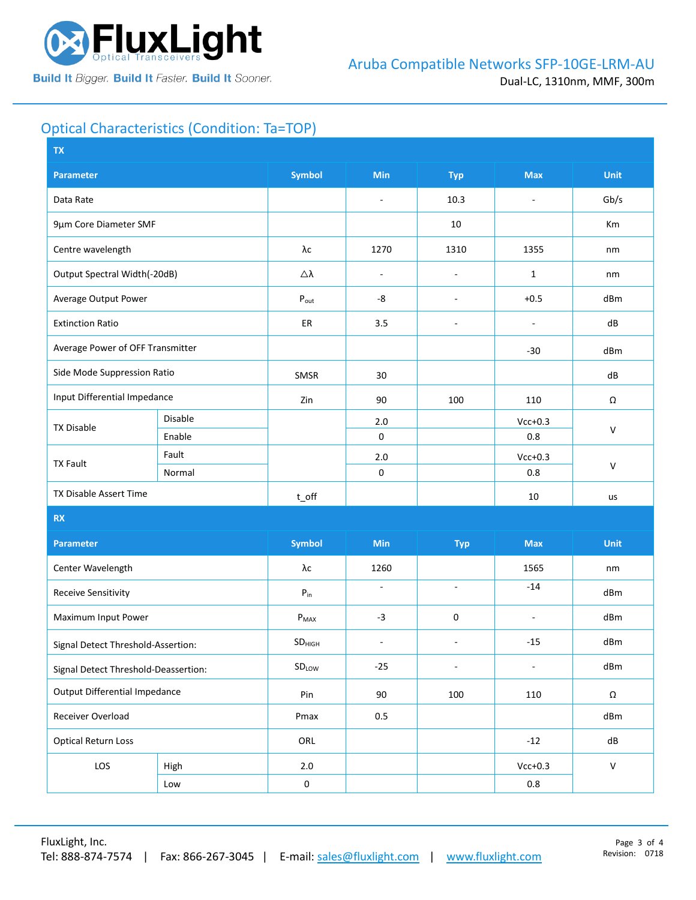

# Optical Characteristics (Condition: Ta=TOP)

| <b>Symbol</b><br><b>Min</b><br><b>Max</b><br><b>Parameter</b><br><b>Typ</b>                                               | <b>Unit</b>  |  |
|---------------------------------------------------------------------------------------------------------------------------|--------------|--|
| 10.3<br>Data Rate<br>÷,<br>$\sim$                                                                                         | Gb/s         |  |
| 9µm Core Diameter SMF<br>10                                                                                               | Km           |  |
| λс<br>Centre wavelength<br>1270<br>1310<br>1355                                                                           | nm           |  |
| Output Spectral Width(-20dB)<br>Δλ<br>$\mathbf{1}$<br>$\overline{\phantom{a}}$<br>÷,                                      | nm           |  |
| Average Output Power<br>-8<br>$+0.5$<br>$P_{\text{out}}$<br>$\overline{\phantom{a}}$                                      | dBm          |  |
| 3.5<br><b>Extinction Ratio</b><br>ER<br>÷,<br>$\overline{a}$                                                              | dB           |  |
| Average Power of OFF Transmitter<br>$-30$                                                                                 | dBm          |  |
| Side Mode Suppression Ratio<br>SMSR<br>30                                                                                 | dB           |  |
| Input Differential Impedance<br>Zin<br>90<br>100<br>110                                                                   | Ω            |  |
| Disable<br>$Vcc+0.3$<br>2.0<br><b>TX Disable</b>                                                                          | $\mathsf{V}$ |  |
| Enable<br>$\mathsf 0$<br>0.8                                                                                              |              |  |
| Fault<br>$2.0$<br>$Vcc+0.3$<br><b>TX Fault</b>                                                                            | $\mathsf{V}$ |  |
| $\mathsf 0$<br>0.8<br>Normal                                                                                              |              |  |
| TX Disable Assert Time<br>$t$ off<br>10                                                                                   | us           |  |
| <b>RX</b>                                                                                                                 |              |  |
| <b>Symbol</b><br>Min<br><b>Max</b><br><b>Parameter</b><br><b>Typ</b>                                                      | <b>Unit</b>  |  |
| Center Wavelength<br>λс<br>1260<br>1565                                                                                   | nm           |  |
| $-14$<br>$\bar{\phantom{a}}$<br>$\sim$<br><b>Receive Sensitivity</b><br>${\sf P}_{\sf in}$                                | dBm          |  |
| $-3$<br>0<br>Maximum Input Power<br>$P_{MAX}$<br>$\overline{\phantom{a}}$                                                 | dBm          |  |
| $-15$<br>SD <sub>HIGH</sub><br>$\overline{\phantom{a}}$<br>$\overline{\phantom{a}}$<br>Signal Detect Threshold-Assertion: | dBm          |  |
| SDLow<br>$-25$<br>$\blacksquare$<br>$\overline{\phantom{a}}$<br>Signal Detect Threshold-Deassertion:                      | dBm          |  |
| <b>Output Differential Impedance</b><br>Pin<br>90<br>100<br>110                                                           | Ω            |  |
| Receiver Overload<br>Pmax<br>0.5                                                                                          | dBm          |  |
| <b>Optical Return Loss</b><br>ORL<br>$-12$                                                                                | dB           |  |
| LOS<br>$Vcc+0.3$<br>High<br>$2.0\,$                                                                                       | $\mathsf{V}$ |  |
| $\pmb{0}$<br>$0.8\,$<br>Low                                                                                               |              |  |